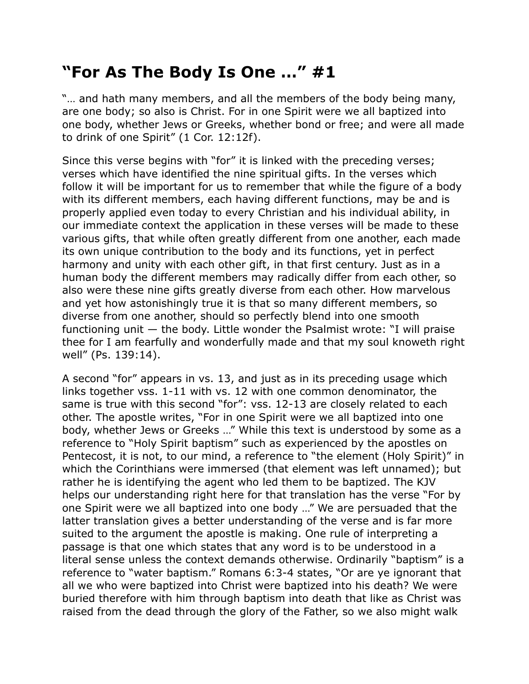## **"For As The Body Is One …" #1**

"... and hath many members, and all the members of the body being many, are one body; so also is Christ. For in one Spirit were we all baptized into one body, whether Jews or Greeks, whether bond or free; and were all made to drink of one Spirit" (1 Cor. 12:12f).

Since this verse begins with "for" it is linked with the preceding verses; verses which have identified the nine spiritual gifts. In the verses which follow it will be important for us to remember that while the figure of a body with its different members, each having different functions, may be and is properly applied even today to every Christian and his individual ability, in our immediate context the application in these verses will be made to these various gifts, that while often greatly different from one another, each made its own unique contribution to the body and its functions, yet in perfect harmony and unity with each other gift, in that first century. Just as in a human body the different members may radically differ from each other, so also were these nine gifts greatly diverse from each other. How marvelous and yet how astonishingly true it is that so many different members, so diverse from one another, should so perfectly blend into one smooth functioning unit  $-$  the body. Little wonder the Psalmist wrote: "I will praise thee for I am fearfully and wonderfully made and that my soul knoweth right well" (Ps. 139:14).

A second "for" appears in vs. 13, and just as in its preceding usage which links together vss. 1-11 with vs. 12 with one common denominator, the same is true with this second "for": vss. 12-13 are closely related to each other. The apostle writes, "For in one Spirit were we all baptized into one body, whether Jews or Greeks …" While this text is understood by some as a reference to "Holy Spirit baptism" such as experienced by the apostles on Pentecost, it is not, to our mind, a reference to "the element (Holy Spirit)" in which the Corinthians were immersed (that element was left unnamed); but rather he is identifying the agent who led them to be baptized. The KJV helps our understanding right here for that translation has the verse "For by one Spirit were we all baptized into one body …" We are persuaded that the latter translation gives a better understanding of the verse and is far more suited to the argument the apostle is making. One rule of interpreting a passage is that one which states that any word is to be understood in a literal sense unless the context demands otherwise. Ordinarily "baptism" is a reference to "water baptism." Romans 6:3-4 states, "Or are ye ignorant that all we who were baptized into Christ were baptized into his death? We were buried therefore with him through baptism into death that like as Christ was raised from the dead through the glory of the Father, so we also might walk